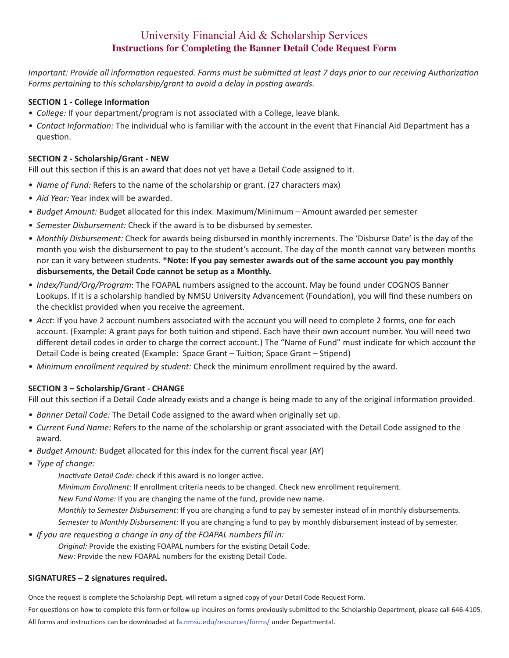# University Financial Aid & Scholarship Services **Instructions for Completing the Banner Detail Code Request Form**

*Important: Provide all information requested. Forms must be submitted at least 7 days prior to our receiving Authorization Forms pertaining to this scholarship/grant to avoid a delay in posting awards.*

### **SECTION 1 - College Information**

- *• College:* If your department/program is not associated with a College, leave blank.
- *• Contact Information:* The individual who is familiar with the account in the event that Financial Aid Department has a question.

#### **SECTION 2 - Scholarship/Grant - NEW**

Fill out this section if this is an award that does not yet have a Detail Code assigned to it.

- *• Name of Fund:* Refers to the name of the scholarship or grant. (27 characters max)
- *• Aid Year:* Year index will be awarded.
- *• Budget Amount:* Budget allocated for this index. Maximum/Minimum Amount awarded per semester
- *• Semester Disbursement:* Check if the award is to be disbursed by semester.
- *• Monthly Disbursement:* Check for awards being disbursed in monthly increments. The 'Disburse Date' is the day of the month you wish the disbursement to pay to the student's account. The day of the month cannot vary between months nor can it vary between students. **\*Note: If you pay semester awards out of the same account you pay monthly disbursements, the Detail Code cannot be setup as a Monthly.**
- *• Index/Fund/Org/Program*: The FOAPAL numbers assigned to the account. May be found under COGNOS Banner Lookups. If it is a scholarship handled by NMSU University Advancement (Foundation), you will find these numbers on the checklist provided when you receive the agreement.
- *• Acct*: If you have 2 account numbers associated with the account you will need to complete 2 forms, one for each account. (Example: A grant pays for both tuition and stipend. Each have their own account number. You will need two different detail codes in order to charge the correct account.) The "Name of Fund" must indicate for which account the Detail Code is being created (Example: Space Grant – Tuition; Space Grant – Stipend)
- *• Minimum enrollment required by student:* Check the minimum enrollment required by the award.

## **SECTION 3 – Scholarship/Grant - CHANGE**

Fill out this section if a Detail Code already exists and a change is being made to any of the original information provided.

- *• Banner Detail Code:* The Detail Code assigned to the award when originally set up.
- *• Current Fund Name:* Refers to the name of the scholarship or grant associated with the Detail Code assigned to the award.
- *• Budget Amount:* Budget allocated for this index for the current fiscal year (AY)
- *• Type of change:*

*Inactivate Detail Code:* check if this award is no longer active.

*Minimum Enrollment:* If enrollment criteria needs to be changed. Check new enrollment requirement.

*New Fund Name:* If you are changing the name of the fund, provide new name.

*Monthly to Semester Disbursement:* If you are changing a fund to pay by semester instead of in monthly disbursements. *Semester to Monthly Disbursement:* If you are changing a fund to pay by monthly disbursement instead of by semester.

*• If you are requesting a change in any of the FOAPAL numbers fill in:*

*Original:* Provide the existing FOAPAL numbers for the existing Detail Code. *New:* Provide the new FOAPAL numbers for the existing Detail Code.

#### **SIGNATURES – 2 signatures required.**

Once the request is complete the Scholarship Dept. will return a signed copy of your Detail Code Request Form.

For questions on how to complete this form or follow-up inquires on forms previously submitted to the Scholarship Department, please call 646-4105. All forms and instructions can be downloaded at fa.nmsu.edu/resources/forms/ under Departmental.